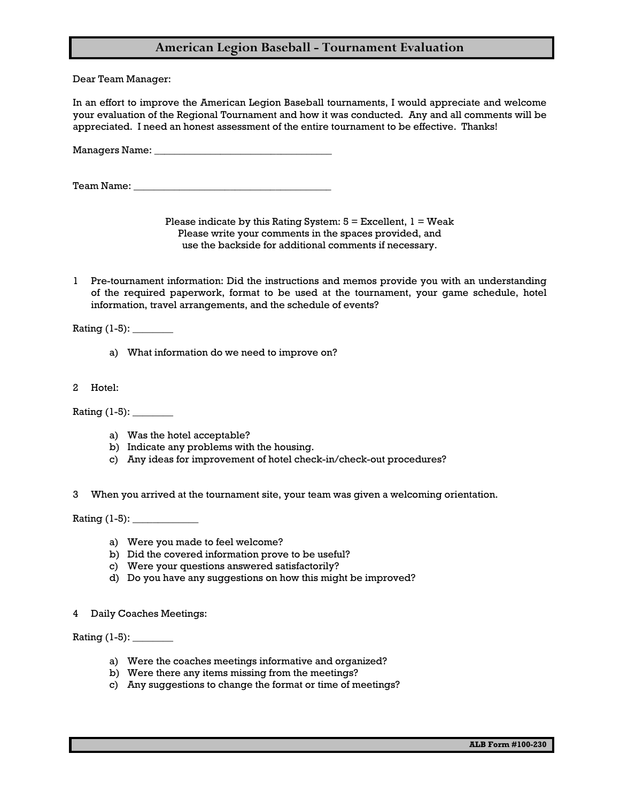## **American Legion Baseball - Tournament Evaluation**

Dear Team Manager:

In an effort to improve the American Legion Baseball tournaments, I would appreciate and welcome your evaluation of the Regional Tournament and how it was conducted. Any and all comments will be appreciated. I need an honest assessment of the entire tournament to be effective. Thanks!

Managers Name: \_\_\_\_\_\_\_\_\_\_\_\_\_\_\_\_\_\_\_\_\_\_\_\_\_\_\_\_\_\_\_\_\_\_\_

Team Name: \_\_\_\_\_\_\_\_\_\_\_\_\_\_\_\_\_\_\_\_\_\_\_\_\_\_\_\_\_\_\_\_\_\_\_\_\_\_\_

Please indicate by this Rating System:  $5 =$  Excellent,  $1 =$  Weak Please write your comments in the spaces provided, and use the backside for additional comments if necessary.

1 Pre-tournament information: Did the instructions and memos provide you with an understanding of the required paperwork, format to be used at the tournament, your game schedule, hotel information, travel arrangements, and the schedule of events?

Rating (1-5): \_\_\_\_\_\_\_\_

- a) What information do we need to improve on?
- 2 Hotel:

Rating (1-5): \_\_\_\_\_\_\_\_

- a) Was the hotel acceptable?
- b) Indicate any problems with the housing.
- c) Any ideas for improvement of hotel check-in/check-out procedures?
- 3 When you arrived at the tournament site, your team was given a welcoming orientation.

Rating (1-5): \_\_\_\_\_\_\_\_\_\_\_\_\_

- a) Were you made to feel welcome?
- b) Did the covered information prove to be useful?
- c) Were your questions answered satisfactorily?
- d) Do you have any suggestions on how this might be improved?
- 4 Daily Coaches Meetings:

Rating (1-5): \_\_\_\_\_\_\_\_

- a) Were the coaches meetings informative and organized?
- b) Were there any items missing from the meetings?
- c) Any suggestions to change the format or time of meetings?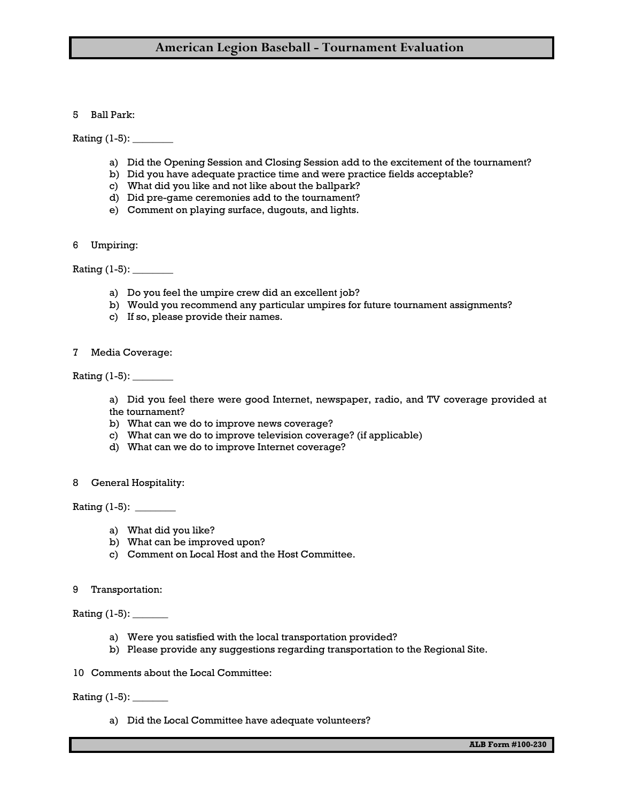## **American Legion Baseball - Tournament Evaluation**

### 5 Ball Park:

Rating (1-5): \_\_\_\_\_\_\_\_

- a) Did the Opening Session and Closing Session add to the excitement of the tournament?
- b) Did you have adequate practice time and were practice fields acceptable?
- c) What did you like and not like about the ballpark?
- d) Did pre-game ceremonies add to the tournament?
- e) Comment on playing surface, dugouts, and lights.
- 6 Umpiring:

Rating (1-5): \_\_\_\_\_\_\_\_

- a) Do you feel the umpire crew did an excellent job?
- b) Would you recommend any particular umpires for future tournament assignments?
- c) If so, please provide their names.
- 7 Media Coverage:

Rating (1-5): \_\_\_\_\_\_\_\_

a) Did you feel there were good Internet, newspaper, radio, and TV coverage provided at the tournament?

- b) What can we do to improve news coverage?
- c) What can we do to improve television coverage? (if applicable)
- d) What can we do to improve Internet coverage?
- 8 General Hospitality:

Rating (1-5): \_\_\_\_\_\_\_\_

- a) What did you like?
- b) What can be improved upon?
- c) Comment on Local Host and the Host Committee.
- 9 Transportation:

Rating (1-5): \_\_\_\_\_\_\_

- a) Were you satisfied with the local transportation provided?
- b) Please provide any suggestions regarding transportation to the Regional Site.
- 10 Comments about the Local Committee:

#### Rating (1-5): \_\_\_\_\_\_\_

a) Did the Local Committee have adequate volunteers?